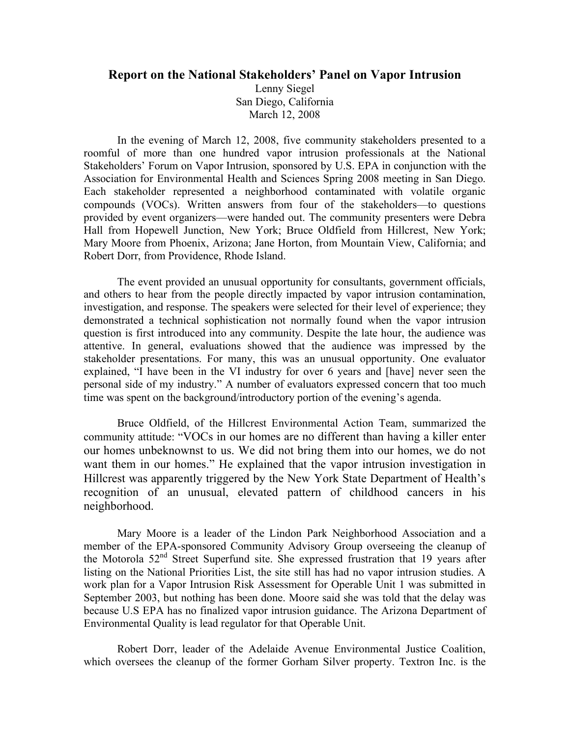## **Report on the National Stakeholders' Panel on Vapor Intrusion**

Lenny Siegel San Diego, California March 12, 2008

In the evening of March 12, 2008, five community stakeholders presented to a roomful of more than one hundred vapor intrusion professionals at the National Stakeholders' Forum on Vapor Intrusion, sponsored by U.S. EPA in conjunction with the Association for Environmental Health and Sciences Spring 2008 meeting in San Diego. Each stakeholder represented a neighborhood contaminated with volatile organic compounds (VOCs). Written answers from four of the stakeholders—to questions provided by event organizers—were handed out. The community presenters were Debra Hall from Hopewell Junction, New York; Bruce Oldfield from Hillcrest, New York; Mary Moore from Phoenix, Arizona; Jane Horton, from Mountain View, California; and Robert Dorr, from Providence, Rhode Island.

The event provided an unusual opportunity for consultants, government officials, and others to hear from the people directly impacted by vapor intrusion contamination, investigation, and response. The speakers were selected for their level of experience; they demonstrated a technical sophistication not normally found when the vapor intrusion question is first introduced into any community. Despite the late hour, the audience was attentive. In general, evaluations showed that the audience was impressed by the stakeholder presentations. For many, this was an unusual opportunity. One evaluator explained, "I have been in the VI industry for over 6 years and [have] never seen the personal side of my industry." A number of evaluators expressed concern that too much time was spent on the background/introductory portion of the evening's agenda.

Bruce Oldfield, of the Hillcrest Environmental Action Team, summarized the community attitude: "VOCs in our homes are no different than having a killer enter our homes unbeknownst to us. We did not bring them into our homes, we do not want them in our homes." He explained that the vapor intrusion investigation in Hillcrest was apparently triggered by the New York State Department of Health's recognition of an unusual, elevated pattern of childhood cancers in his neighborhood.

Mary Moore is a leader of the Lindon Park Neighborhood Association and a member of the EPA-sponsored Community Advisory Group overseeing the cleanup of the Motorola 52nd Street Superfund site. She expressed frustration that 19 years after listing on the National Priorities List, the site still has had no vapor intrusion studies. A work plan for a Vapor Intrusion Risk Assessment for Operable Unit 1 was submitted in September 2003, but nothing has been done. Moore said she was told that the delay was because U.S EPA has no finalized vapor intrusion guidance. The Arizona Department of Environmental Quality is lead regulator for that Operable Unit.

Robert Dorr, leader of the Adelaide Avenue Environmental Justice Coalition, which oversees the cleanup of the former Gorham Silver property. Textron Inc. is the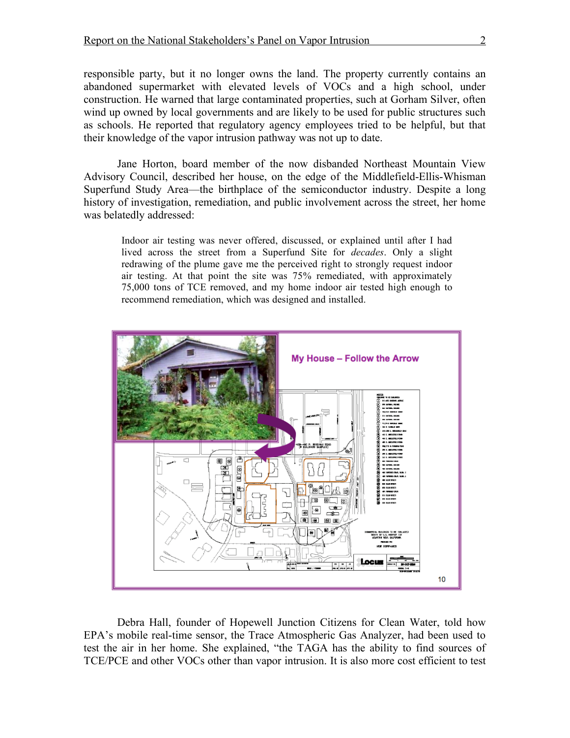responsible party, but it no longer owns the land. The property currently contains an abandoned supermarket with elevated levels of VOCs and a high school, under construction. He warned that large contaminated properties, such at Gorham Silver, often wind up owned by local governments and are likely to be used for public structures such as schools. He reported that regulatory agency employees tried to be helpful, but that their knowledge of the vapor intrusion pathway was not up to date.

Jane Horton, board member of the now disbanded Northeast Mountain View Advisory Council, described her house, on the edge of the Middlefield-Ellis-Whisman Superfund Study Area—the birthplace of the semiconductor industry. Despite a long history of investigation, remediation, and public involvement across the street, her home was belatedly addressed:

Indoor air testing was never offered, discussed, or explained until after I had lived across the street from a Superfund Site for *decades*. Only a slight redrawing of the plume gave me the perceived right to strongly request indoor air testing. At that point the site was 75% remediated, with approximately 75,000 tons of TCE removed, and my home indoor air tested high enough to recommend remediation, which was designed and installed.



Debra Hall, founder of Hopewell Junction Citizens for Clean Water, told how EPA's mobile real-time sensor, the Trace Atmospheric Gas Analyzer, had been used to test the air in her home. She explained, "the TAGA has the ability to find sources of TCE/PCE and other VOCs other than vapor intrusion. It is also more cost efficient to test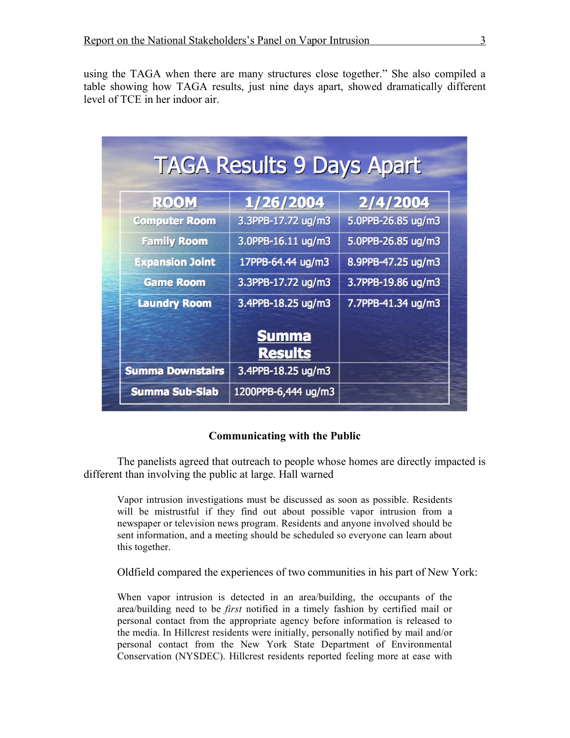using the TAGA when there are many structures close together." She also compiled a table showing how TAGA results, just nine days apart, showed dramatically different level of TCE in her indoor air.

| <b>TAGA Results 9 Days Apart</b> |                                |                    |
|----------------------------------|--------------------------------|--------------------|
| <b>ROOM</b>                      | 1/26/2004                      | 2/4/2004           |
| <b>Computer Room</b>             | 3.3PPB-17.72 ug/m3             | 5.0PPB-26.85 ug/m3 |
| <b>Family Room</b>               | 3.0PPB-16.11 ug/m3             | 5.0PPB-26.85 ug/m3 |
| <b>Expansion Joint</b>           | 17PPB-64.44 ug/m3              | 8.9PPB-47.25 ug/m3 |
| <b>Game Room</b>                 | 3.3PPB-17.72 ug/m3             | 3.7PPB-19.86 ug/m3 |
| <b>Laundry Room</b>              | 3.4PPB-18.25 ug/m3             | 7.7PPB-41.34 ug/m3 |
|                                  | <b>Summa</b><br><b>Results</b> |                    |
| <b>Summa Downstairs</b>          | 3.4PPB-18.25 ug/m3             |                    |
| <b>Summa Sub-Slab</b>            | 1200PPB-6,444 ug/m3            |                    |

# **Communicating with the Public**

The panelists agreed that outreach to people whose homes are directly impacted is different than involving the public at large. Hall warned

Vapor intrusion investigations must be discussed as soon as possible. Residents will be mistrustful if they find out about possible vapor intrusion from a newspaper or television news program. Residents and anyone involved should be sent information, and a meeting should be scheduled so everyone can learn about this together.

Oldfield compared the experiences of two communities in his part of New York:

When vapor intrusion is detected in an area/building, the occupants of the area/building need to be *first* notified in a timely fashion by certified mail or personal contact from the appropriate agency before information is released to the media. In Hillcrest residents were initially, personally notified by mail and/or personal contact from the New York State Department of Environmental Conservation (NYSDEC). Hillcrest residents reported feeling more at ease with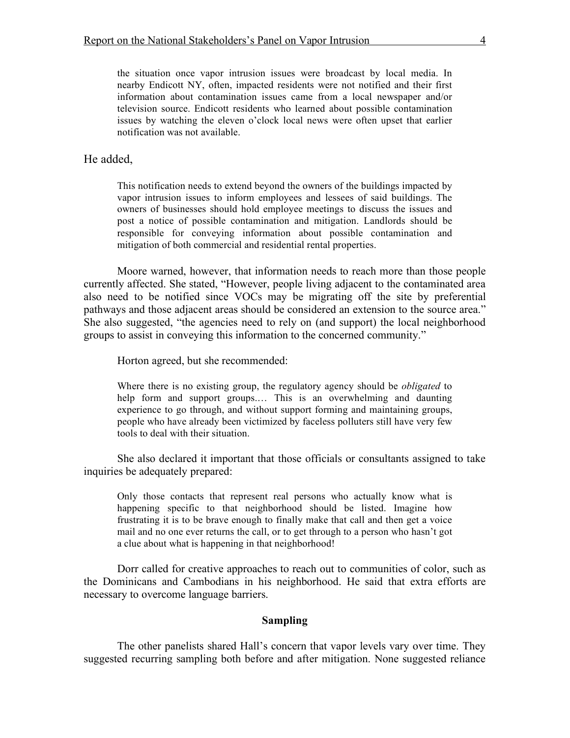the situation once vapor intrusion issues were broadcast by local media. In nearby Endicott NY, often, impacted residents were not notified and their first information about contamination issues came from a local newspaper and/or television source. Endicott residents who learned about possible contamination issues by watching the eleven o'clock local news were often upset that earlier notification was not available.

# He added,

This notification needs to extend beyond the owners of the buildings impacted by vapor intrusion issues to inform employees and lessees of said buildings. The owners of businesses should hold employee meetings to discuss the issues and post a notice of possible contamination and mitigation. Landlords should be responsible for conveying information about possible contamination and mitigation of both commercial and residential rental properties.

Moore warned, however, that information needs to reach more than those people currently affected. She stated, "However, people living adjacent to the contaminated area also need to be notified since VOCs may be migrating off the site by preferential pathways and those adjacent areas should be considered an extension to the source area." She also suggested, "the agencies need to rely on (and support) the local neighborhood groups to assist in conveying this information to the concerned community."

Horton agreed, but she recommended:

Where there is no existing group, the regulatory agency should be *obligated* to help form and support groups.… This is an overwhelming and daunting experience to go through, and without support forming and maintaining groups, people who have already been victimized by faceless polluters still have very few tools to deal with their situation.

She also declared it important that those officials or consultants assigned to take inquiries be adequately prepared:

Only those contacts that represent real persons who actually know what is happening specific to that neighborhood should be listed. Imagine how frustrating it is to be brave enough to finally make that call and then get a voice mail and no one ever returns the call, or to get through to a person who hasn't got a clue about what is happening in that neighborhood!

Dorr called for creative approaches to reach out to communities of color, such as the Dominicans and Cambodians in his neighborhood. He said that extra efforts are necessary to overcome language barriers.

## **Sampling**

The other panelists shared Hall's concern that vapor levels vary over time. They suggested recurring sampling both before and after mitigation. None suggested reliance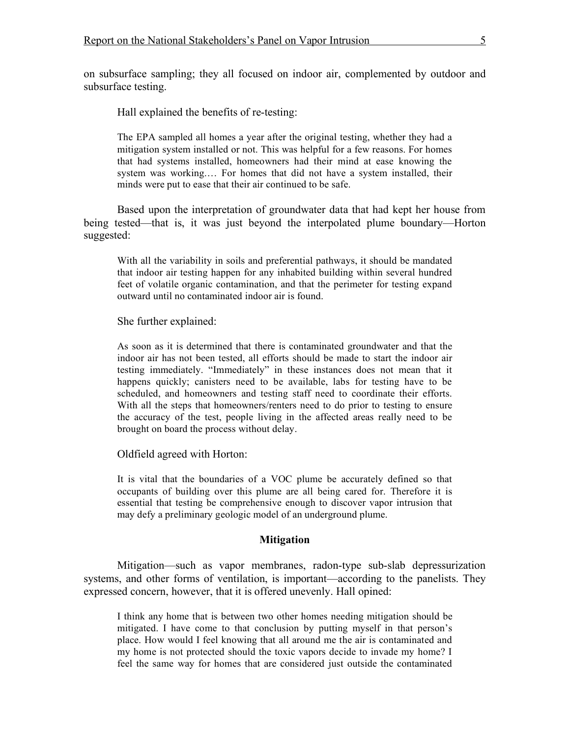on subsurface sampling; they all focused on indoor air, complemented by outdoor and subsurface testing.

Hall explained the benefits of re-testing:

The EPA sampled all homes a year after the original testing, whether they had a mitigation system installed or not. This was helpful for a few reasons. For homes that had systems installed, homeowners had their mind at ease knowing the system was working.… For homes that did not have a system installed, their minds were put to ease that their air continued to be safe.

Based upon the interpretation of groundwater data that had kept her house from being tested—that is, it was just beyond the interpolated plume boundary—Horton suggested:

With all the variability in soils and preferential pathways, it should be mandated that indoor air testing happen for any inhabited building within several hundred feet of volatile organic contamination, and that the perimeter for testing expand outward until no contaminated indoor air is found.

She further explained:

As soon as it is determined that there is contaminated groundwater and that the indoor air has not been tested, all efforts should be made to start the indoor air testing immediately. "Immediately" in these instances does not mean that it happens quickly; canisters need to be available, labs for testing have to be scheduled, and homeowners and testing staff need to coordinate their efforts. With all the steps that homeowners/renters need to do prior to testing to ensure the accuracy of the test, people living in the affected areas really need to be brought on board the process without delay.

Oldfield agreed with Horton:

It is vital that the boundaries of a VOC plume be accurately defined so that occupants of building over this plume are all being cared for. Therefore it is essential that testing be comprehensive enough to discover vapor intrusion that may defy a preliminary geologic model of an underground plume.

#### **Mitigation**

Mitigation—such as vapor membranes, radon-type sub-slab depressurization systems, and other forms of ventilation, is important—according to the panelists. They expressed concern, however, that it is offered unevenly. Hall opined:

I think any home that is between two other homes needing mitigation should be mitigated. I have come to that conclusion by putting myself in that person's place. How would I feel knowing that all around me the air is contaminated and my home is not protected should the toxic vapors decide to invade my home? I feel the same way for homes that are considered just outside the contaminated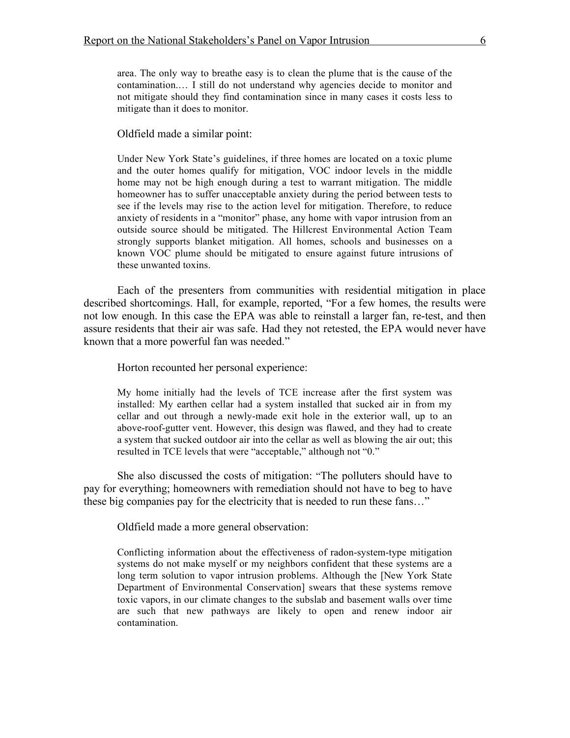area. The only way to breathe easy is to clean the plume that is the cause of the contamination.… I still do not understand why agencies decide to monitor and not mitigate should they find contamination since in many cases it costs less to mitigate than it does to monitor.

Oldfield made a similar point:

Under New York State's guidelines, if three homes are located on a toxic plume and the outer homes qualify for mitigation, VOC indoor levels in the middle home may not be high enough during a test to warrant mitigation. The middle homeowner has to suffer unacceptable anxiety during the period between tests to see if the levels may rise to the action level for mitigation. Therefore, to reduce anxiety of residents in a "monitor" phase, any home with vapor intrusion from an outside source should be mitigated. The Hillcrest Environmental Action Team strongly supports blanket mitigation. All homes, schools and businesses on a known VOC plume should be mitigated to ensure against future intrusions of these unwanted toxins.

Each of the presenters from communities with residential mitigation in place described shortcomings. Hall, for example, reported, "For a few homes, the results were not low enough. In this case the EPA was able to reinstall a larger fan, re-test, and then assure residents that their air was safe. Had they not retested, the EPA would never have known that a more powerful fan was needed."

Horton recounted her personal experience:

My home initially had the levels of TCE increase after the first system was installed: My earthen cellar had a system installed that sucked air in from my cellar and out through a newly-made exit hole in the exterior wall, up to an above-roof-gutter vent. However, this design was flawed, and they had to create a system that sucked outdoor air into the cellar as well as blowing the air out; this resulted in TCE levels that were "acceptable," although not "0."

She also discussed the costs of mitigation: "The polluters should have to pay for everything; homeowners with remediation should not have to beg to have these big companies pay for the electricity that is needed to run these fans…"

Oldfield made a more general observation:

Conflicting information about the effectiveness of radon-system-type mitigation systems do not make myself or my neighbors confident that these systems are a long term solution to vapor intrusion problems. Although the [New York State Department of Environmental Conservation] swears that these systems remove toxic vapors, in our climate changes to the subslab and basement walls over time are such that new pathways are likely to open and renew indoor air contamination.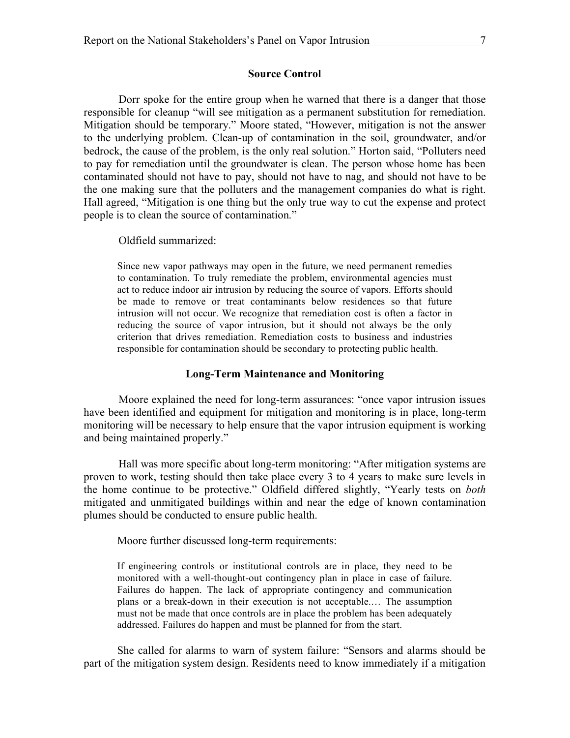### **Source Control**

Dorr spoke for the entire group when he warned that there is a danger that those responsible for cleanup "will see mitigation as a permanent substitution for remediation. Mitigation should be temporary." Moore stated, "However, mitigation is not the answer to the underlying problem. Clean-up of contamination in the soil, groundwater, and/or bedrock, the cause of the problem, is the only real solution." Horton said, "Polluters need to pay for remediation until the groundwater is clean. The person whose home has been contaminated should not have to pay, should not have to nag, and should not have to be the one making sure that the polluters and the management companies do what is right. Hall agreed, "Mitigation is one thing but the only true way to cut the expense and protect people is to clean the source of contamination."

Oldfield summarized:

Since new vapor pathways may open in the future, we need permanent remedies to contamination. To truly remediate the problem, environmental agencies must act to reduce indoor air intrusion by reducing the source of vapors. Efforts should be made to remove or treat contaminants below residences so that future intrusion will not occur. We recognize that remediation cost is often a factor in reducing the source of vapor intrusion, but it should not always be the only criterion that drives remediation. Remediation costs to business and industries responsible for contamination should be secondary to protecting public health.

#### **Long-Term Maintenance and Monitoring**

Moore explained the need for long-term assurances: "once vapor intrusion issues have been identified and equipment for mitigation and monitoring is in place, long-term monitoring will be necessary to help ensure that the vapor intrusion equipment is working and being maintained properly."

Hall was more specific about long-term monitoring: "After mitigation systems are proven to work, testing should then take place every 3 to 4 years to make sure levels in the home continue to be protective." Oldfield differed slightly, "Yearly tests on *both* mitigated and unmitigated buildings within and near the edge of known contamination plumes should be conducted to ensure public health.

Moore further discussed long-term requirements:

If engineering controls or institutional controls are in place, they need to be monitored with a well-thought-out contingency plan in place in case of failure. Failures do happen. The lack of appropriate contingency and communication plans or a break-down in their execution is not acceptable.… The assumption must not be made that once controls are in place the problem has been adequately addressed. Failures do happen and must be planned for from the start.

She called for alarms to warn of system failure: "Sensors and alarms should be part of the mitigation system design. Residents need to know immediately if a mitigation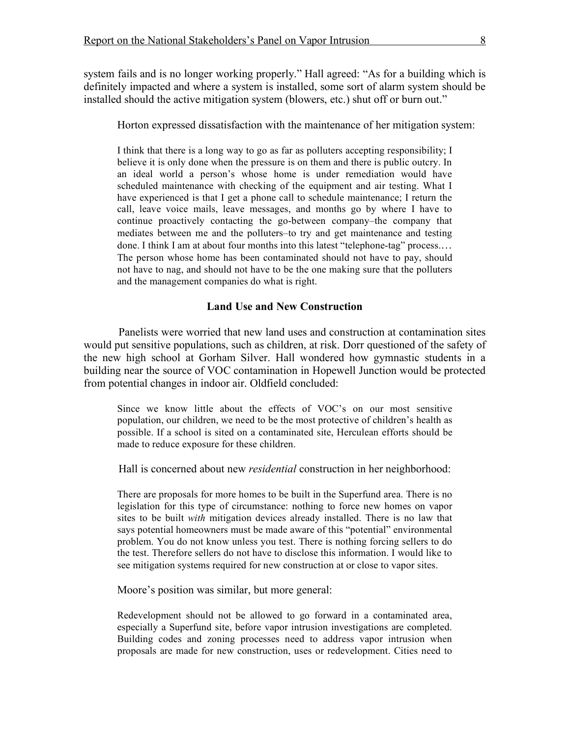system fails and is no longer working properly." Hall agreed: "As for a building which is definitely impacted and where a system is installed, some sort of alarm system should be installed should the active mitigation system (blowers, etc.) shut off or burn out."

Horton expressed dissatisfaction with the maintenance of her mitigation system:

I think that there is a long way to go as far as polluters accepting responsibility; I believe it is only done when the pressure is on them and there is public outcry. In an ideal world a person's whose home is under remediation would have scheduled maintenance with checking of the equipment and air testing. What I have experienced is that I get a phone call to schedule maintenance; I return the call, leave voice mails, leave messages, and months go by where I have to continue proactively contacting the go-between company–the company that mediates between me and the polluters–to try and get maintenance and testing done. I think I am at about four months into this latest "telephone-tag" process.... The person whose home has been contaminated should not have to pay, should not have to nag, and should not have to be the one making sure that the polluters and the management companies do what is right.

### **Land Use and New Construction**

Panelists were worried that new land uses and construction at contamination sites would put sensitive populations, such as children, at risk. Dorr questioned of the safety of the new high school at Gorham Silver. Hall wondered how gymnastic students in a building near the source of VOC contamination in Hopewell Junction would be protected from potential changes in indoor air. Oldfield concluded:

Since we know little about the effects of VOC's on our most sensitive population, our children, we need to be the most protective of children's health as possible. If a school is sited on a contaminated site, Herculean efforts should be made to reduce exposure for these children.

Hall is concerned about new *residential* construction in her neighborhood:

There are proposals for more homes to be built in the Superfund area. There is no legislation for this type of circumstance: nothing to force new homes on vapor sites to be built *with* mitigation devices already installed. There is no law that says potential homeowners must be made aware of this "potential" environmental problem. You do not know unless you test. There is nothing forcing sellers to do the test. Therefore sellers do not have to disclose this information. I would like to see mitigation systems required for new construction at or close to vapor sites.

Moore's position was similar, but more general:

Redevelopment should not be allowed to go forward in a contaminated area, especially a Superfund site, before vapor intrusion investigations are completed. Building codes and zoning processes need to address vapor intrusion when proposals are made for new construction, uses or redevelopment. Cities need to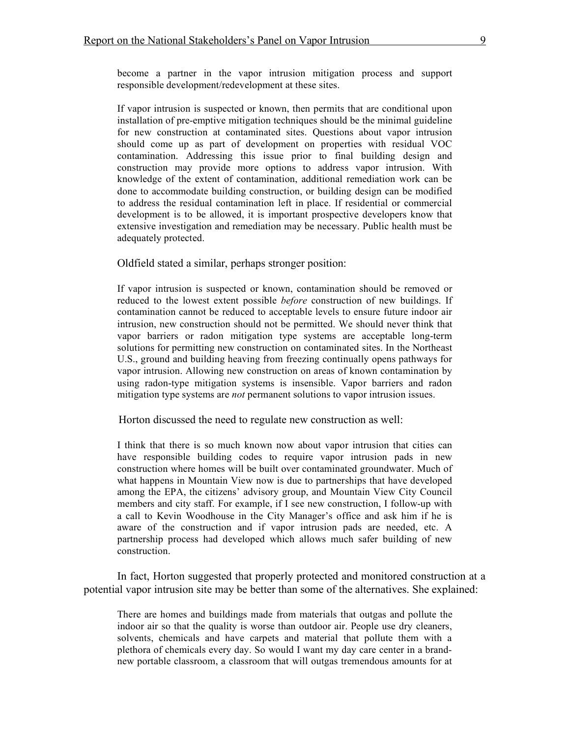become a partner in the vapor intrusion mitigation process and support responsible development/redevelopment at these sites.

If vapor intrusion is suspected or known, then permits that are conditional upon installation of pre-emptive mitigation techniques should be the minimal guideline for new construction at contaminated sites. Questions about vapor intrusion should come up as part of development on properties with residual VOC contamination. Addressing this issue prior to final building design and construction may provide more options to address vapor intrusion. With knowledge of the extent of contamination, additional remediation work can be done to accommodate building construction, or building design can be modified to address the residual contamination left in place. If residential or commercial development is to be allowed, it is important prospective developers know that extensive investigation and remediation may be necessary. Public health must be adequately protected.

Oldfield stated a similar, perhaps stronger position:

If vapor intrusion is suspected or known, contamination should be removed or reduced to the lowest extent possible *before* construction of new buildings. If contamination cannot be reduced to acceptable levels to ensure future indoor air intrusion, new construction should not be permitted. We should never think that vapor barriers or radon mitigation type systems are acceptable long-term solutions for permitting new construction on contaminated sites. In the Northeast U.S., ground and building heaving from freezing continually opens pathways for vapor intrusion. Allowing new construction on areas of known contamination by using radon-type mitigation systems is insensible. Vapor barriers and radon mitigation type systems are *not* permanent solutions to vapor intrusion issues.

Horton discussed the need to regulate new construction as well:

I think that there is so much known now about vapor intrusion that cities can have responsible building codes to require vapor intrusion pads in new construction where homes will be built over contaminated groundwater. Much of what happens in Mountain View now is due to partnerships that have developed among the EPA, the citizens' advisory group, and Mountain View City Council members and city staff. For example, if I see new construction, I follow-up with a call to Kevin Woodhouse in the City Manager's office and ask him if he is aware of the construction and if vapor intrusion pads are needed, etc. A partnership process had developed which allows much safer building of new construction.

In fact, Horton suggested that properly protected and monitored construction at a potential vapor intrusion site may be better than some of the alternatives. She explained:

There are homes and buildings made from materials that outgas and pollute the indoor air so that the quality is worse than outdoor air. People use dry cleaners, solvents, chemicals and have carpets and material that pollute them with a plethora of chemicals every day. So would I want my day care center in a brandnew portable classroom, a classroom that will outgas tremendous amounts for at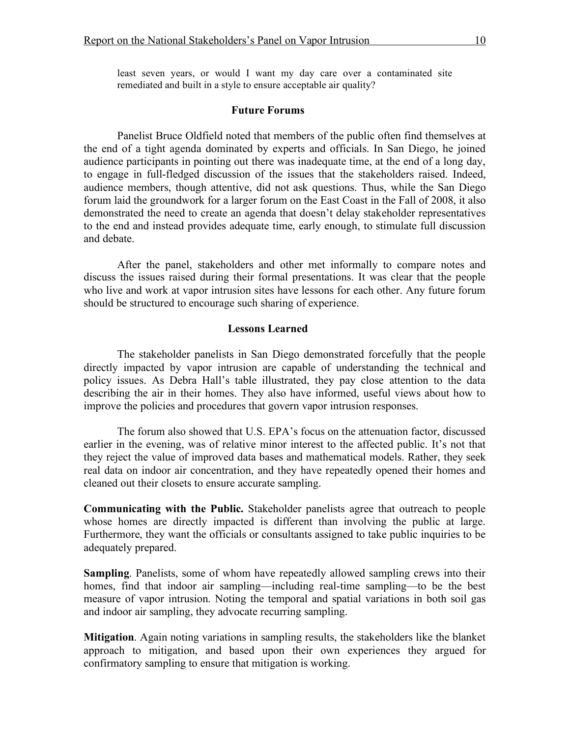least seven years, or would I want my day care over a contaminated site remediated and built in a style to ensure acceptable air quality?

#### **Future Forums**

Panelist Bruce Oldfield noted that members of the public often find themselves at the end of a tight agenda dominated by experts and officials. In San Diego, he joined audience participants in pointing out there was inadequate time, at the end of a long day, to engage in full-fledged discussion of the issues that the stakeholders raised. Indeed, audience members, though attentive, did not ask questions. Thus, while the San Diego forum laid the groundwork for a larger forum on the East Coast in the Fall of 2008, it also demonstrated the need to create an agenda that doesn't delay stakeholder representatives to the end and instead provides adequate time, early enough, to stimulate full discussion and debate.

After the panel, stakeholders and other met informally to compare notes and discuss the issues raised during their formal presentations. It was clear that the people who live and work at vapor intrusion sites have lessons for each other. Any future forum should be structured to encourage such sharing of experience.

# **Lessons Learned**

The stakeholder panelists in San Diego demonstrated forcefully that the people directly impacted by vapor intrusion are capable of understanding the technical and policy issues. As Debra Hall's table illustrated, they pay close attention to the data describing the air in their homes. They also have informed, useful views about how to improve the policies and procedures that govern vapor intrusion responses.

The forum also showed that U.S. EPA's focus on the attenuation factor, discussed earlier in the evening, was of relative minor interest to the affected public. It's not that they reject the value of improved data bases and mathematical models. Rather, they seek real data on indoor air concentration, and they have repeatedly opened their homes and cleaned out their closets to ensure accurate sampling.

**Communicating with the Public.** Stakeholder panelists agree that outreach to people whose homes are directly impacted is different than involving the public at large. Furthermore, they want the officials or consultants assigned to take public inquiries to be adequately prepared.

**Sampling**. Panelists, some of whom have repeatedly allowed sampling crews into their homes, find that indoor air sampling—including real-time sampling—to be the best measure of vapor intrusion. Noting the temporal and spatial variations in both soil gas and indoor air sampling, they advocate recurring sampling.

**Mitigation**. Again noting variations in sampling results, the stakeholders like the blanket approach to mitigation, and based upon their own experiences they argued for confirmatory sampling to ensure that mitigation is working.